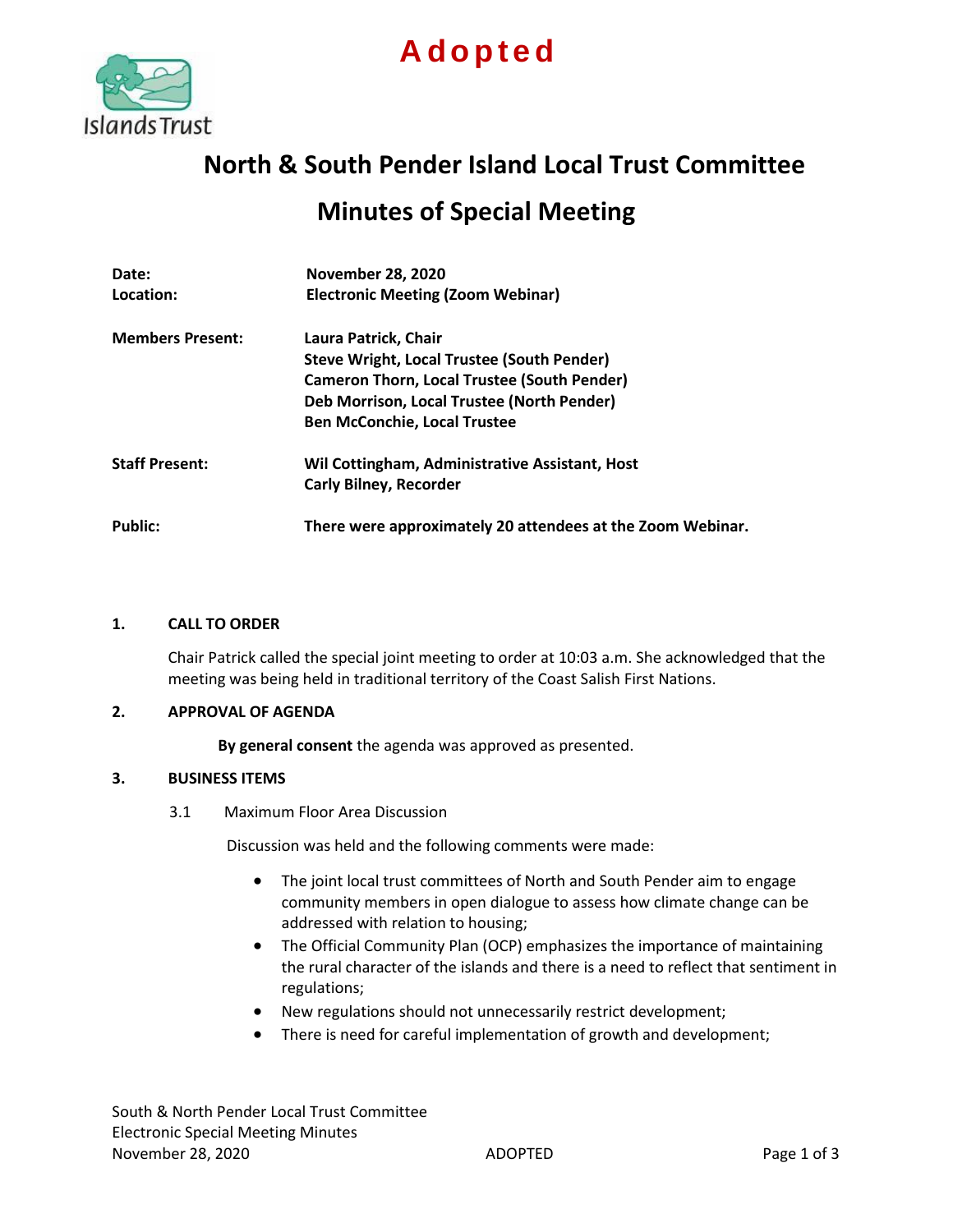

# **A d o p t e d**

## **North & South Pender Island Local Trust Committee**

### **Minutes of Special Meeting**

| Date:                   | <b>November 28, 2020</b>                                   |
|-------------------------|------------------------------------------------------------|
| Location:               | <b>Electronic Meeting (Zoom Webinar)</b>                   |
| <b>Members Present:</b> | Laura Patrick, Chair                                       |
|                         | Steve Wright, Local Trustee (South Pender)                 |
|                         | <b>Cameron Thorn, Local Trustee (South Pender)</b>         |
|                         | Deb Morrison, Local Trustee (North Pender)                 |
|                         | <b>Ben McConchie, Local Trustee</b>                        |
| <b>Staff Present:</b>   | Wil Cottingham, Administrative Assistant, Host             |
|                         | <b>Carly Bilney, Recorder</b>                              |
| <b>Public:</b>          | There were approximately 20 attendees at the Zoom Webinar. |

#### **1. CALL TO ORDER**

Chair Patrick called the special joint meeting to order at 10:03 a.m. She acknowledged that the meeting was being held in traditional territory of the Coast Salish First Nations.

#### **2. APPROVAL OF AGENDA**

**By general consent** the agenda was approved as presented.

#### **3. BUSINESS ITEMS**

3.1 Maximum Floor Area Discussion

Discussion was held and the following comments were made:

- The joint local trust committees of North and South Pender aim to engage community members in open dialogue to assess how climate change can be addressed with relation to housing;
- The Official Community Plan (OCP) emphasizes the importance of maintaining the rural character of the islands and there is a need to reflect that sentiment in regulations;
- New regulations should not unnecessarily restrict development;
- There is need for careful implementation of growth and development;

South & North Pender Local Trust Committee Electronic Special Meeting Minutes November 28, 2020 **ADOPTED** ADOPTED **Page 1 of 3**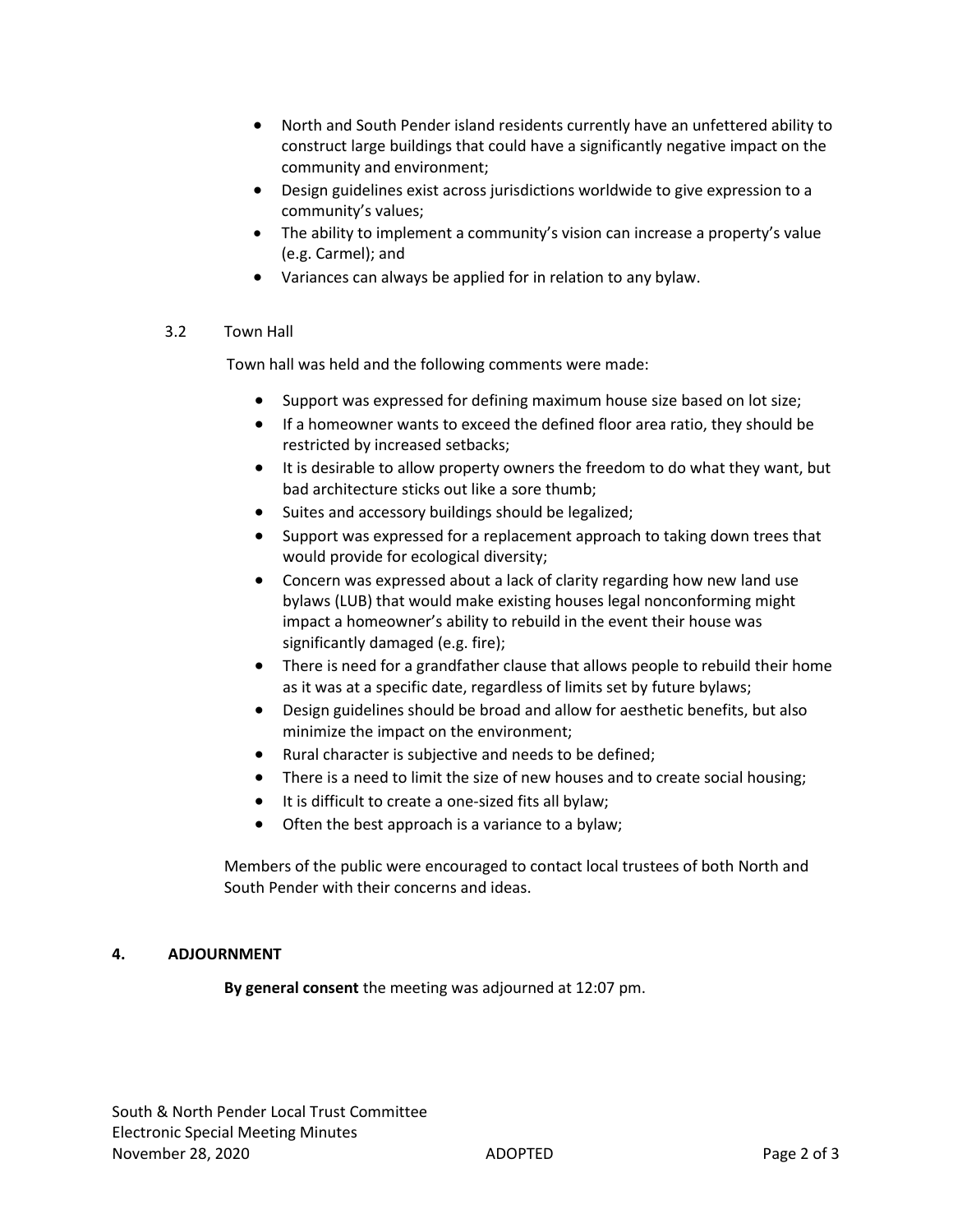- North and South Pender island residents currently have an unfettered ability to construct large buildings that could have a significantly negative impact on the community and environment;
- Design guidelines exist across jurisdictions worldwide to give expression to a community's values;
- The ability to implement a community's vision can increase a property's value (e.g. Carmel); and
- Variances can always be applied for in relation to any bylaw.

#### 3.2 Town Hall

Town hall was held and the following comments were made:

- Support was expressed for defining maximum house size based on lot size;
- If a homeowner wants to exceed the defined floor area ratio, they should be restricted by increased setbacks;
- It is desirable to allow property owners the freedom to do what they want, but bad architecture sticks out like a sore thumb;
- Suites and accessory buildings should be legalized;
- Support was expressed for a replacement approach to taking down trees that would provide for ecological diversity;
- Concern was expressed about a lack of clarity regarding how new land use bylaws (LUB) that would make existing houses legal nonconforming might impact a homeowner's ability to rebuild in the event their house was significantly damaged (e.g. fire);
- There is need for a grandfather clause that allows people to rebuild their home as it was at a specific date, regardless of limits set by future bylaws;
- Design guidelines should be broad and allow for aesthetic benefits, but also minimize the impact on the environment;
- Rural character is subjective and needs to be defined;
- There is a need to limit the size of new houses and to create social housing;
- It is difficult to create a one-sized fits all bylaw;
- Often the best approach is a variance to a bylaw;

Members of the public were encouraged to contact local trustees of both North and South Pender with their concerns and ideas.

#### **4. ADJOURNMENT**

**By general consent** the meeting was adjourned at 12:07 pm.